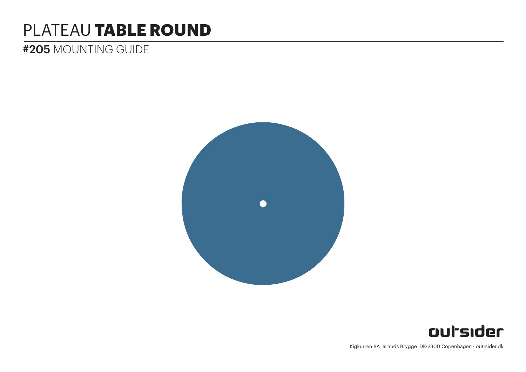# PLATEAU **TABLE ROUND**

# #205 MOUNTING GUIDE





Kigkurren 8A Islands Brygge DK-2300 Copenhagen · out-sider.dk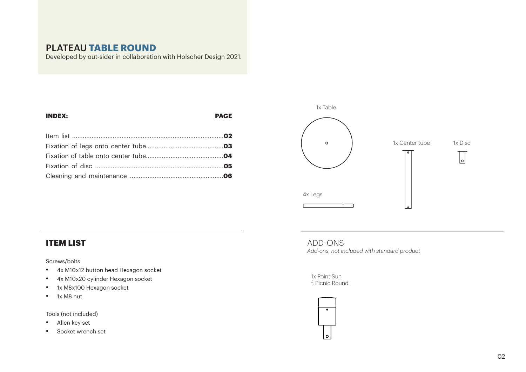### PLATEAU **TABLE ROUND**

Developed by out-sider in collaboration with Holscher Design 2021.

## **INDEX: PAGE** Item list ......................................................................................**02** Fixation of legs onto center tube............................................**03** Fixation of table onto center tube............................................**04**



#### **ITEM LIST**

Screws/bolts

- • 4x M10x12 button head Hexagon socket
- • 4x M10x20 cylinder Hexagon socket
- • 1x M8x100 Hexagon socket
- • 1x M8 nut

Tools (not included)

- • Allen key set
- • Socket wrench set

ADD-ONS *Add-ons, not included with standard product*

#### 1x Point Sun f. Picnic Round

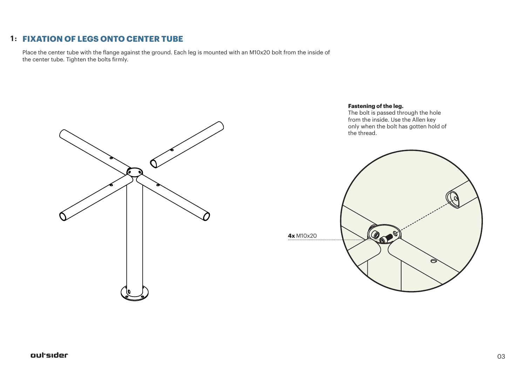#### **FIXATION OF LEGS ONTO CENTER TUBE 1 :**

Place the center tube with the flange against the ground. Each leg is mounted with an M10x20 bolt from the inside of the center tube. Tighten the bolts firmly.



#### **Fastening of the leg.**

The bolt is passed through the hole from the inside. Use the Allen key only when the bolt has gotten hold of the thread.

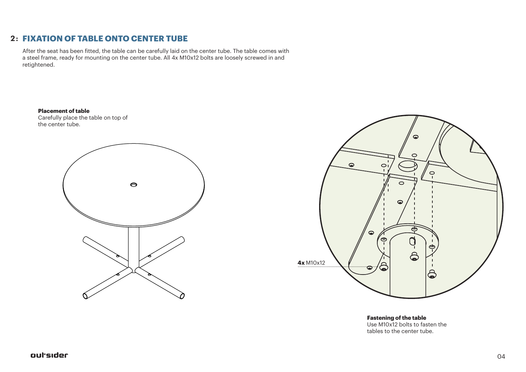#### **2 : FIXATION OF TABLE ONTO CENTER TUBE**

After the seat has been fitted, the table can be carefully laid on the center tube. The table comes with a steel frame, ready for mounting on the center tube. All 4x M10x12 bolts are loosely screwed in and retightened.

**Placement of table**

Carefully place the table on top of the center tube.





**Fastening of the table** Use M10x12 bolts to fasten the tables to the center tube.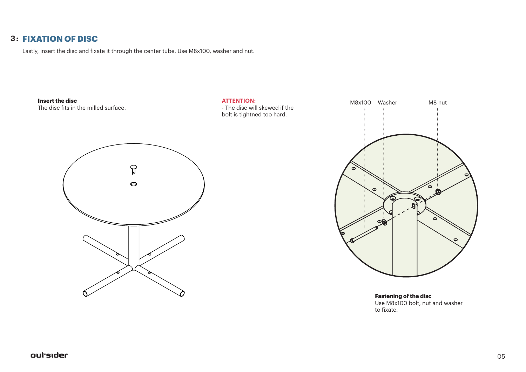#### **3 : FIXATION OF DISC**

Lastly, insert the disc and fixate it through the center tube. Use M8x100, washer and nut.



**Fastening of the disc** Use M8x100 bolt, nut and washer to fixate.